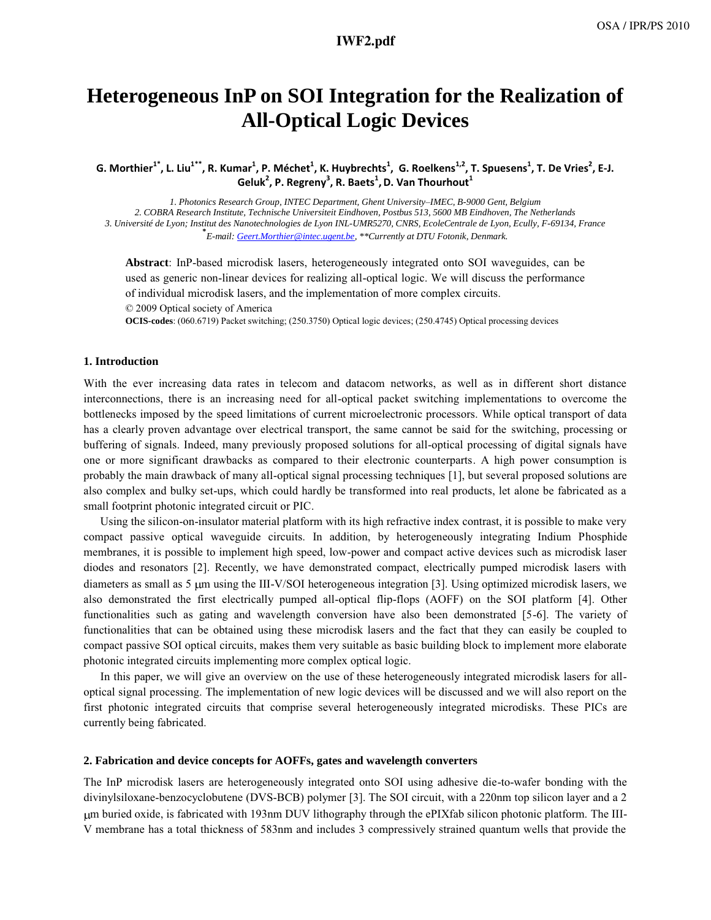# **a22\_1.pdf IWF2.pdf**

# **Heterogeneous InP on SOI Integration for the Realization of All-Optical Logic Devices**

G. Morthier ¯, L. Liu ¯, R. Kumar ¯, P. Mechet ¯, K. Huybrechts ¯, G. Roelkens ¯¯, I . Spuesens ¯, I . De Vries ¯, E-J.<br>Celuk<sup>2</sup> D. Begreny <sup>3</sup> D. Bagts <sup>1</sup> D. Van Thourhout <sup>1</sup> , P. Mechet<sup>-</sup>, K. Huybrechts<sup>-</sup><br>J<sup>L2</sup> P. Regreny<sup>3</sup> P. Baets<sup>1</sup> D **Geluk<sup>2</sup> , P. Regreny<sup>3</sup> , R. Baets<sup>1</sup> ,D. Van Thourhout<sup>1</sup>**

*1. Photonics Research Group, INTEC Department, Ghent University-IMEC, B-9000 Gent, Belgium 2. COBRA Research Institute, Technische Universiteit Eindhoven, Postbus 513, 5600 MB Eindhoven, The Netherlands 3. Université de Lyon; Institut des Nanotechnologies de Lyon INL-UMR5270, CNRS, EcoleCentrale de Lyon, Ecully, F-69134, France* **\*** *E-mail: Geert.Morthier@intec.ugent.be, \*\*Currently at DTU Fotonik, Denmark.* 

**Abstract**: InP-based microdisk lasers, heterogeneously integrated onto SOI waveguides, can be used as generic non-linear devices for realizing all-optical logic. We will discuss the performance of individual microdisk lasers, and the implementation of more complex circuits.

© 2009 Optical society of America

**OCIS-codes**: (060.6719) Packet switching; (250.3750) Optical logic devices; (250.4745) Optical processing devices

#### **1. Introduction**

With the ever increasing data rates in telecom and datacom networks, as well as in different short distance interconnections, there is an increasing need for all-optical packet switching implementations to overcome the bottlenecks imposed by the speed limitations of current microelectronic processors. While optical transport of data has a clearly proven advantage over electrical transport, the same cannot be said for the switching, processing or buffering of signals. Indeed, many previously proposed solutions for all-optical processing of digital signals have one or more significant drawbacks as compared to their electronic counterparts. A high power consumption is probably the main drawback of many all-optical signal processing techniques [1], but several proposed solutions are also complex and bulky set-ups, which could hardly be transformed into real products, let alone be fabricated as a small footprint photonic integrated circuit or PIC.

Using the silicon-on-insulator material platform with its high refractive index contrast, it is possible to make very compact passive optical waveguide circuits. In addition, by heterogeneously integrating Indium Phosphide membranes, it is possible to implement high speed, low-power and compact active devices such as microdisk laser diodes and resonators [2]. Recently, we have demonstrated compact, electrically pumped microdisk lasers with diameters as small as 5  $\mu$ m using the III-V/SOI heterogeneous integration [3]. Using optimized microdisk lasers, we also demonstrated the first electrically pumped all-optical flip-flops (AOFF) on the SOI platform [4]. Other functionalities such as gating and wavelength conversion have also been demonstrated [5-6]. The variety of functionalities that can be obtained using these microdisk lasers and the fact that they can easily be coupled to compact passive SOI optical circuits, makes them very suitable as basic building block to implement more elaborate photonic integrated circuits implementing more complex optical logic.

In this paper, we will give an overview on the use of these heterogeneously integrated microdisk lasers for alloptical signal processing. The implementation of new logic devices will be discussed and we will also report on the first photonic integrated circuits that comprise several heterogeneously integrated microdisks. These PICs are currently being fabricated.

### **2. Fabrication and device concepts for AOFFs, gates and wavelength converters**

The InP microdisk lasers are heterogeneously integrated onto SOI using adhesive die-to-wafer bonding with the divinylsiloxane-benzocyclobutene (DVS-BCB) polymer [3]. The SOI circuit, with a 220nm top silicon layer and a 2 m buried oxide, is fabricated with 193nm DUV lithography through the ePIXfab silicon photonic platform. The III-V membrane has a total thickness of 583nm and includes 3 compressively strained quantum wells that provide the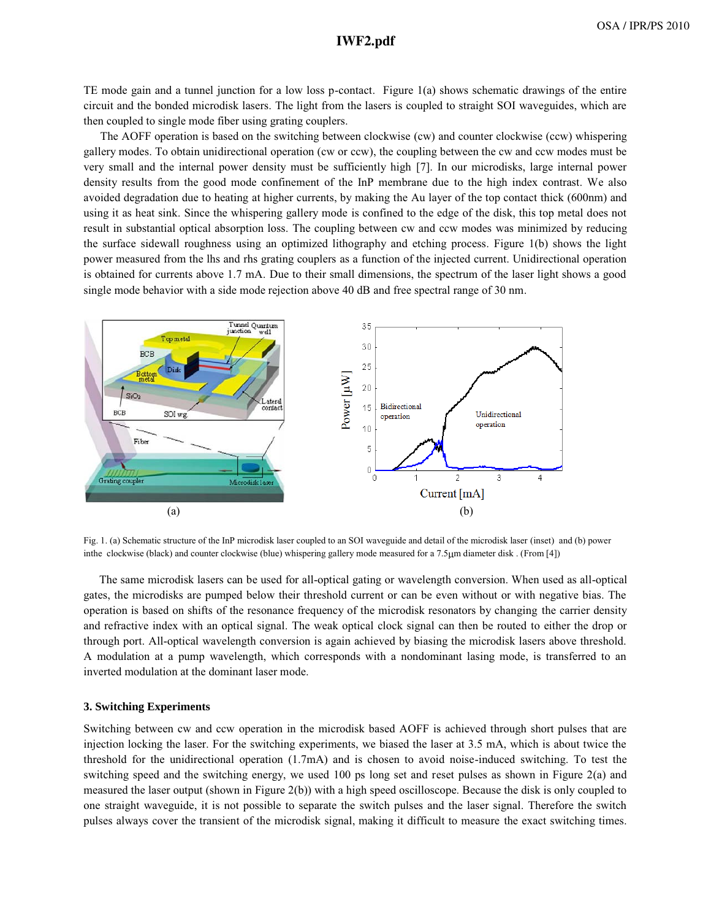# **a22\_1.pdf IWF2.pdf**

TE mode gain and a tunnel junction for a low loss p-contact. Figure 1(a) shows schematic drawings of the entire circuit and the bonded microdisk lasers. The light from the lasers is coupled to straight SOI waveguides, which are then coupled to single mode fiber using grating couplers.

The AOFF operation is based on the switching between clockwise (cw) and counter clockwise (ccw) whispering gallery modes. To obtain unidirectional operation (cw or ccw), the coupling between the cw and ccw modes must be very small and the internal power density must be sufficiently high [7]. In our microdisks, large internal power density results from the good mode confinement of the InP membrane due to the high index contrast. We also avoided degradation due to heating at higher currents, by making the Au layer of the top contact thick (600nm) and using it as heat sink. Since the whispering gallery mode is confined to the edge of the disk, this top metal does not result in substantial optical absorption loss. The coupling between cw and ccw modes was minimized by reducing the surface sidewall roughness using an optimized lithography and etching process. Figure 1(b) shows the light power measured from the lhs and rhs grating couplers as a function of the injected current. Unidirectional operation is obtained for currents above 1.7 mA. Due to their small dimensions, the spectrum of the laser light shows a good single mode behavior with a side mode rejection above 40 dB and free spectral range of 30 nm.



Fig. 1. (a) Schematic structure of the InP microdisk laser coupled to an SOI waveguide and detail of the microdisk laser (inset) and (b) power inthe clockwise (black) and counter clockwise (blue) whispering gallery mode measured for a 7.5 m diameter disk . (From [4])

The same microdisk lasers can be used for all-optical gating or wavelength conversion. When used as all-optical gates, the microdisks are pumped below their threshold current or can be even without or with negative bias. The operation is based on shifts of the resonance frequency of the microdisk resonators by changing the carrier density and refractive index with an optical signal. The weak optical clock signal can then be routed to either the drop or through port. All-optical wavelength conversion is again achieved by biasing the microdisk lasers above threshold. A modulation at a pump wavelength, which corresponds with a nondominant lasing mode, is transferred to an inverted modulation at the dominant laser mode.

### **3. Switching Experiments**

Switching between cw and ccw operation in the microdisk based AOFF is achieved through short pulses that are injection locking the laser. For the switching experiments, we biased the laser at 3.5 mA, which is about twice the threshold for the unidirectional operation (1.7mA) and is chosen to avoid noise-induced switching. To test the switching speed and the switching energy, we used 100 ps long set and reset pulses as shown in Figure 2(a) and measured the laser output (shown in Figure 2(b)) with a high speed oscilloscope. Because the disk is only coupled to one straight waveguide, it is not possible to separate the switch pulses and the laser signal. Therefore the switch pulses always cover the transient of the microdisk signal, making it difficult to measure the exact switching times.